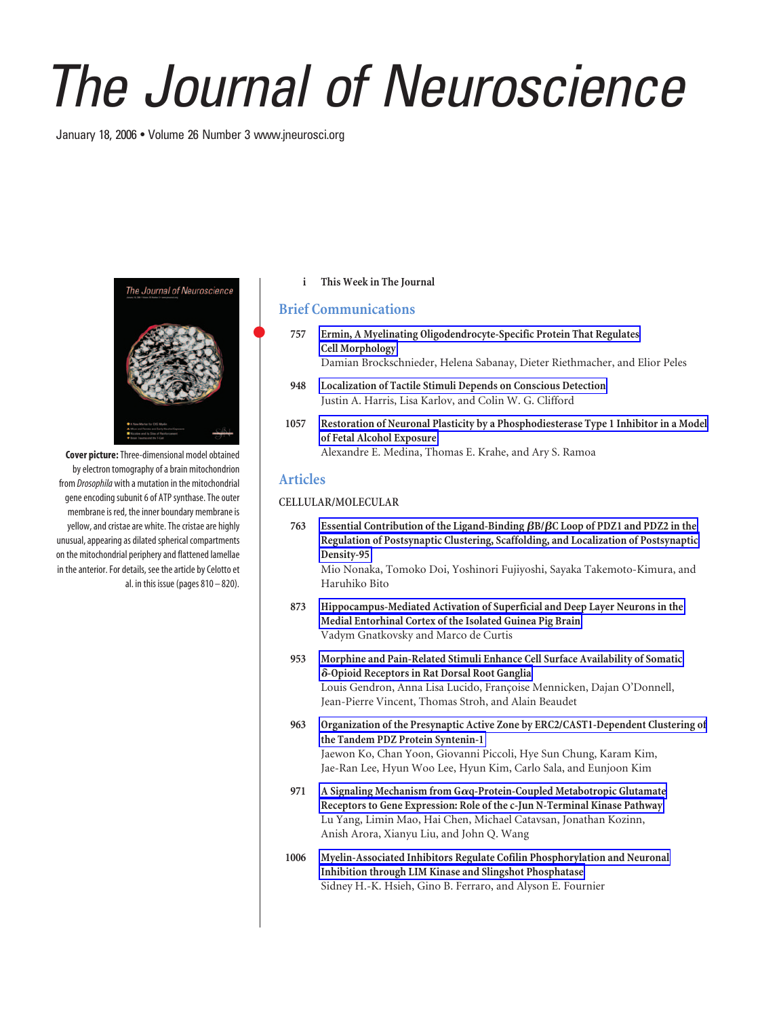# *The Journal of Neuroscience*

January 18, 2006 • Volume 26 Number 3 www.jneurosci.org



**Cover picture:**Three-dimensional model obtained by electron tomography of a brain mitochondrion from *Drosophila* with a mutation in the mitochondrial gene encoding subunit 6 of ATP synthase. The outer membrane is red, the inner boundary membrane is yellow, and cristae are white. The cristae are highly unusual, appearing as dilated spherical compartments on the mitochondrial periphery and flattened lamellae in the anterior. For details, see the article by Celotto et al. in this issue (pages  $810 - 820$ ).

## **i This Week in The Journal**

# **Brief Communications**

- **757 Ermin, A Myelinating Oligodendrocyte-Specific Protein That Regulates Cell Morphology** Damian Brockschnieder, Helena Sabanay, Dieter Riethmacher, and Elior Peles
- **948 Localization of Tactile Stimuli Depends on Conscious Detection** Justin A. Harris, Lisa Karlov, and Colin W. G. Clifford
- **1057 Restoration of Neuronal Plasticity by a Phosphodiesterase Type 1 Inhibitor in a Model of Fetal Alcohol Exposure** Alexandre E. Medina, Thomas E. Krahe, and Ary S. Ramoa

# **Articles**

### **CELLULAR/MOLECULAR**

**763 Essential Contribution of the Ligand-Binding B/C Loop of PDZ1 and PDZ2 in the Regulation of Postsynaptic Clustering, Scaffolding, and Localization of Postsynaptic Density-95**

Mio Nonaka, Tomoko Doi, Yoshinori Fujiyoshi, Sayaka Takemoto-Kimura, and Haruhiko Bito

- **873 Hippocampus-Mediated Activation of Superficial and Deep Layer Neurons in the Medial Entorhinal Cortex of the Isolated Guinea Pig Brain** Vadym Gnatkovsky and Marco de Curtis
- **953 Morphine and Pain-Related Stimuli Enhance Cell Surface Availability of Somatic** -**-Opioid Receptors in Rat Dorsal Root Ganglia** Louis Gendron, Anna Lisa Lucido, Françoise Mennicken, Dajan O'Donnell, Jean-Pierre Vincent, Thomas Stroh, and Alain Beaudet
- **963 Organization of the Presynaptic Active Zone by ERC2/CAST1-Dependent Clustering of the Tandem PDZ Protein Syntenin-1** Jaewon Ko, Chan Yoon, Giovanni Piccoli, Hye Sun Chung, Karam Kim, Jae-Ran Lee, Hyun Woo Lee, Hyun Kim, Carlo Sala, and Eunjoon Kim
- **971 A Signaling Mechanism from Gq-Protein-Coupled Metabotropic Glutamate Receptors to Gene Expression: Role of the c-Jun N-Terminal Kinase Pathway** Lu Yang, Limin Mao, Hai Chen, Michael Catavsan, Jonathan Kozinn, Anish Arora, Xianyu Liu, and John Q. Wang
- **1006 Myelin-Associated Inhibitors Regulate Cofilin Phosphorylation and Neuronal Inhibition through LIM Kinase and Slingshot Phosphatase** Sidney H.-K. Hsieh, Gino B. Ferraro, and Alyson E. Fournier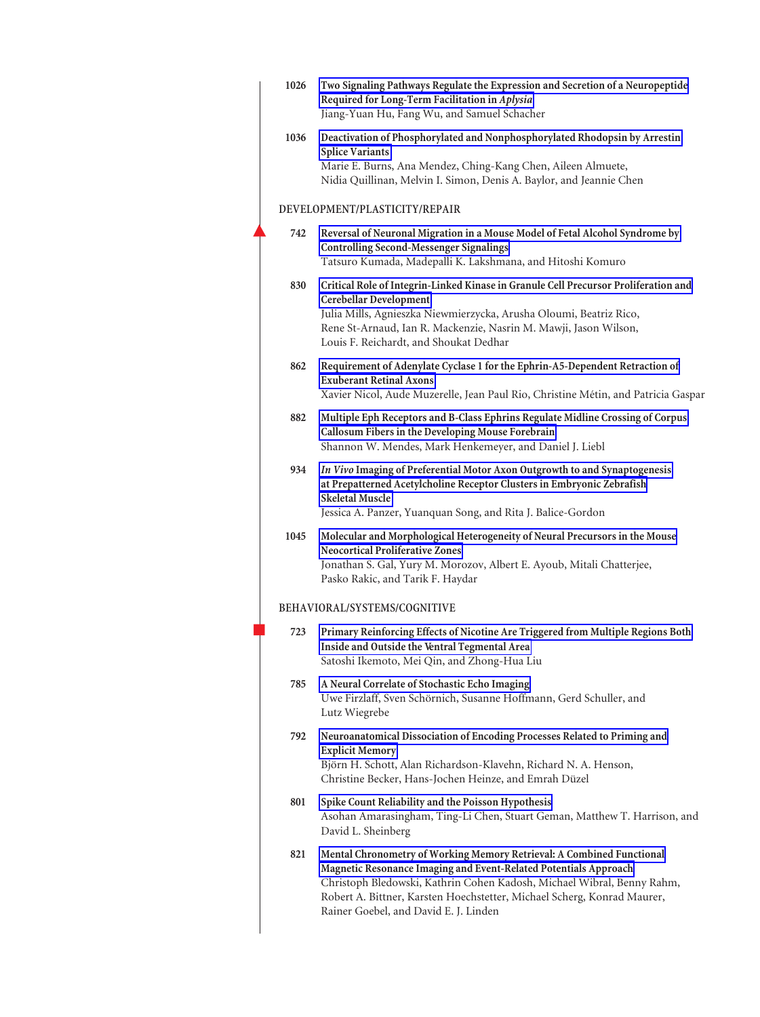| 1026 | Two Signaling Pathways Regulate the Expression and Secretion of a Neuropeptide<br>Required for Long-Term Facilitation in Aplysia<br>Jiang-Yuan Hu, Fang Wu, and Samuel Schacher                                                                                                                                                         |
|------|-----------------------------------------------------------------------------------------------------------------------------------------------------------------------------------------------------------------------------------------------------------------------------------------------------------------------------------------|
| 1036 | Deactivation of Phosphorylated and Nonphosphorylated Rhodopsin by Arrestin<br><b>Splice Variants</b><br>Marie E. Burns, Ana Mendez, Ching-Kang Chen, Aileen Almuete,<br>Nidia Quillinan, Melvin I. Simon, Denis A. Baylor, and Jeannie Chen                                                                                             |
|      | DEVELOPMENT/PLASTICITY/REPAIR                                                                                                                                                                                                                                                                                                           |
| 742  | Reversal of Neuronal Migration in a Mouse Model of Fetal Alcohol Syndrome by<br><b>Controlling Second-Messenger Signalings</b><br>Tatsuro Kumada, Madepalli K. Lakshmana, and Hitoshi Komuro                                                                                                                                            |
| 830  | Critical Role of Integrin-Linked Kinase in Granule Cell Precursor Proliferation and<br>Cerebellar Development<br>Julia Mills, Agnieszka Niewmierzycka, Arusha Oloumi, Beatriz Rico,<br>Rene St-Arnaud, Ian R. Mackenzie, Nasrin M. Mawji, Jason Wilson,<br>Louis F. Reichardt, and Shoukat Dedhar                                       |
| 862  | Requirement of Adenylate Cyclase 1 for the Ephrin-A5-Dependent Retraction of<br><b>Exuberant Retinal Axons</b><br>Xavier Nicol, Aude Muzerelle, Jean Paul Rio, Christine Métin, and Patricia Gaspar                                                                                                                                     |
| 882  | Multiple Eph Receptors and B-Class Ephrins Regulate Midline Crossing of Corpus<br>Callosum Fibers in the Developing Mouse Forebrain<br>Shannon W. Mendes, Mark Henkemeyer, and Daniel J. Liebl                                                                                                                                          |
| 934  | In Vivo Imaging of Preferential Motor Axon Outgrowth to and Synaptogenesis<br>at Prepatterned Acetylcholine Receptor Clusters in Embryonic Zebrafish<br><b>Skeletal Muscle</b><br>Jessica A. Panzer, Yuanquan Song, and Rita J. Balice-Gordon                                                                                           |
| 1045 | Molecular and Morphological Heterogeneity of Neural Precursors in the Mouse<br><b>Neocortical Proliferative Zones</b><br>Jonathan S. Gal, Yury M. Morozov, Albert E. Ayoub, Mitali Chatterjee,<br>Pasko Rakic, and Tarik F. Haydar                                                                                                      |
|      | BEHAVIORAL/SYSTEMS/COGNITIVE                                                                                                                                                                                                                                                                                                            |
| 723  | Primary Reinforcing Effects of Nicotine Are Triggered from Multiple Regions Both<br>Inside and Outside the Ventral Tegmental Area<br>Satoshi Ikemoto, Mei Qin, and Zhong-Hua Liu                                                                                                                                                        |
| 785  | A Neural Correlate of Stochastic Echo Imaging<br>Uwe Firzlaff, Sven Schörnich, Susanne Hoffmann, Gerd Schuller, and<br>Lutz Wiegrebe                                                                                                                                                                                                    |
| 792  | Neuroanatomical Dissociation of Encoding Processes Related to Priming and<br><b>Explicit Memory</b><br>Björn H. Schott, Alan Richardson-Klavehn, Richard N. A. Henson,<br>Christine Becker, Hans-Jochen Heinze, and Emrah Düzel                                                                                                         |
| 801  | Spike Count Reliability and the Poisson Hypothesis<br>Asohan Amarasingham, Ting-Li Chen, Stuart Geman, Matthew T. Harrison, and<br>David L. Sheinberg                                                                                                                                                                                   |
| 821  | Mental Chronometry of Working Memory Retrieval: A Combined Functional<br>Magnetic Resonance Imaging and Event-Related Potentials Approach<br>Christoph Bledowski, Kathrin Cohen Kadosh, Michael Wibral, Benny Rahm,<br>Robert A. Bittner, Karsten Hoechstetter, Michael Scherg, Konrad Maurer,<br>Rainer Goebel, and David E. J. Linden |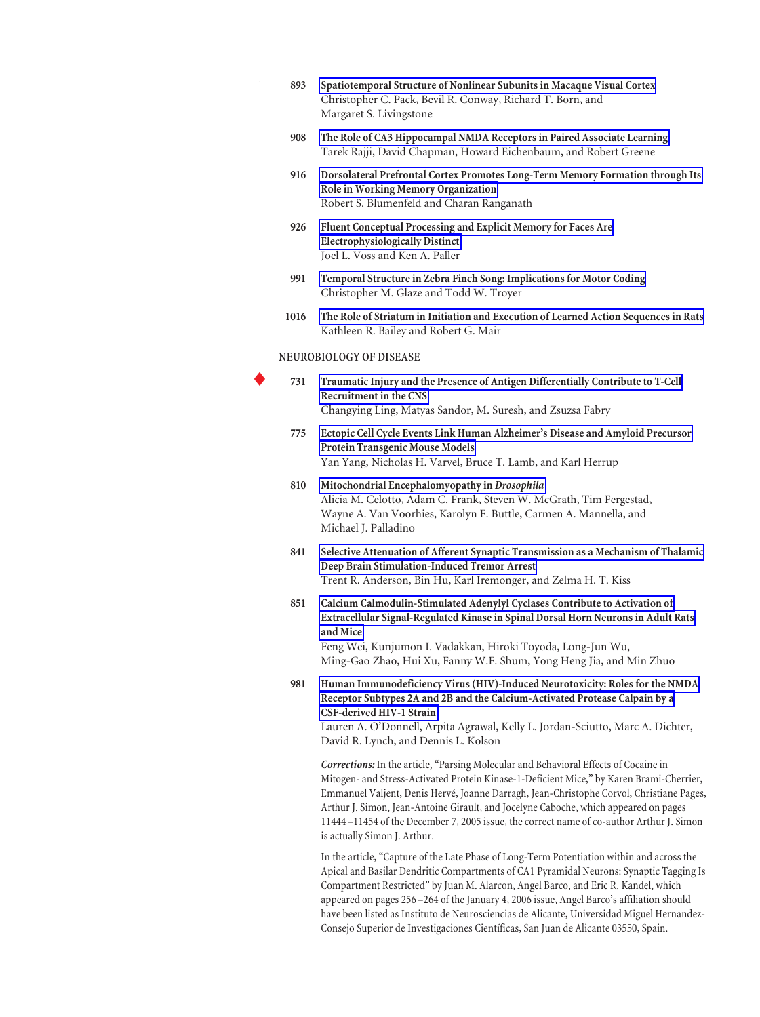| 893  | Spatiotemporal Structure of Nonlinear Subunits in Macaque Visual Cortex<br>Christopher C. Pack, Bevil R. Conway, Richard T. Born, and<br>Margaret S. Livingstone                                                                                                                                                                                                                                                                                                                                                                                             |
|------|--------------------------------------------------------------------------------------------------------------------------------------------------------------------------------------------------------------------------------------------------------------------------------------------------------------------------------------------------------------------------------------------------------------------------------------------------------------------------------------------------------------------------------------------------------------|
| 908  | The Role of CA3 Hippocampal NMDA Receptors in Paired Associate Learning<br>Tarek Rajji, David Chapman, Howard Eichenbaum, and Robert Greene                                                                                                                                                                                                                                                                                                                                                                                                                  |
| 916  | Dorsolateral Prefrontal Cortex Promotes Long-Term Memory Formation through Its<br>Role in Working Memory Organization<br>Robert S. Blumenfeld and Charan Ranganath                                                                                                                                                                                                                                                                                                                                                                                           |
| 926  | Fluent Conceptual Processing and Explicit Memory for Faces Are<br><b>Electrophysiologically Distinct</b><br>Joel L. Voss and Ken A. Paller                                                                                                                                                                                                                                                                                                                                                                                                                   |
| 991  | Temporal Structure in Zebra Finch Song: Implications for Motor Coding<br>Christopher M. Glaze and Todd W. Troyer                                                                                                                                                                                                                                                                                                                                                                                                                                             |
| 1016 | The Role of Striatum in Initiation and Execution of Learned Action Sequences in Rats<br>Kathleen R. Bailey and Robert G. Mair                                                                                                                                                                                                                                                                                                                                                                                                                                |
|      | NEUROBIOLOGY OF DISEASE                                                                                                                                                                                                                                                                                                                                                                                                                                                                                                                                      |
| 731  | Traumatic Injury and the Presence of Antigen Differentially Contribute to T-Cell<br>Recruitment in the CNS<br>Changying Ling, Matyas Sandor, M. Suresh, and Zsuzsa Fabry                                                                                                                                                                                                                                                                                                                                                                                     |
| 775  | Ectopic Cell Cycle Events Link Human Alzheimer's Disease and Amyloid Precursor<br>Protein Transgenic Mouse Models<br>Yan Yang, Nicholas H. Varvel, Bruce T. Lamb, and Karl Herrup                                                                                                                                                                                                                                                                                                                                                                            |
| 810  | Mitochondrial Encephalomyopathy in Drosophila<br>Alicia M. Celotto, Adam C. Frank, Steven W. McGrath, Tim Fergestad,<br>Wayne A. Van Voorhies, Karolyn F. Buttle, Carmen A. Mannella, and<br>Michael J. Palladino                                                                                                                                                                                                                                                                                                                                            |
| 841  | Selective Attenuation of Afferent Synaptic Transmission as a Mechanism of Thalamic<br>Deep Brain Stimulation-Induced Tremor Arrest<br>Trent R. Anderson, Bin Hu, Karl Iremonger, and Zelma H. T. Kiss                                                                                                                                                                                                                                                                                                                                                        |
| 851  | Calcium Calmodulin-Stimulated Adenylyl Cyclases Contribute to Activation of<br>Extracellular Signal-Regulated Kinase in Spinal Dorsal Horn Neurons in Adult Rats<br>and Mice<br>Feng Wei, Kunjumon I. Vadakkan, Hiroki Toyoda, Long-Jun Wu,<br>Ming-Gao Zhao, Hui Xu, Fanny W.F. Shum, Yong Heng Jia, and Min Zhuo                                                                                                                                                                                                                                           |
| 981  | Human Immunodeficiency Virus (HIV)-Induced Neurotoxicity: Roles for the NMDA<br>Receptor Subtypes 2A and 2B and the Calcium-Activated Protease Calpain by a<br><b>CSF-derived HIV-1 Strain</b><br>Lauren A. O'Donnell, Arpita Agrawal, Kelly L. Jordan-Sciutto, Marc A. Dichter,<br>David R. Lynch, and Dennis L. Kolson                                                                                                                                                                                                                                     |
|      | Corrections: In the article, "Parsing Molecular and Behavioral Effects of Cocaine in<br>Mitogen- and Stress-Activated Protein Kinase-1-Deficient Mice," by Karen Brami-Cherrier,<br>Emmanuel Valjent, Denis Hervé, Joanne Darragh, Jean-Christophe Corvol, Christiane Pages,<br>Arthur J. Simon, Jean-Antoine Girault, and Jocelyne Caboche, which appeared on pages<br>11444-11454 of the December 7, 2005 issue, the correct name of co-author Arthur J. Simon<br>is actually Simon J. Arthur.                                                             |
|      | In the article, "Capture of the Late Phase of Long-Term Potentiation within and across the<br>Apical and Basilar Dendritic Compartments of CA1 Pyramidal Neurons: Synaptic Tagging Is<br>Compartment Restricted" by Juan M. Alarcon, Angel Barco, and Eric R. Kandel, which<br>appeared on pages 256-264 of the January 4, 2006 issue, Angel Barco's affiliation should<br>have been listed as Instituto de Neurosciencias de Alicante, Universidad Miguel Hernandez-<br>Consejo Superior de Investigaciones Científicas, San Juan de Alicante 03550, Spain. |